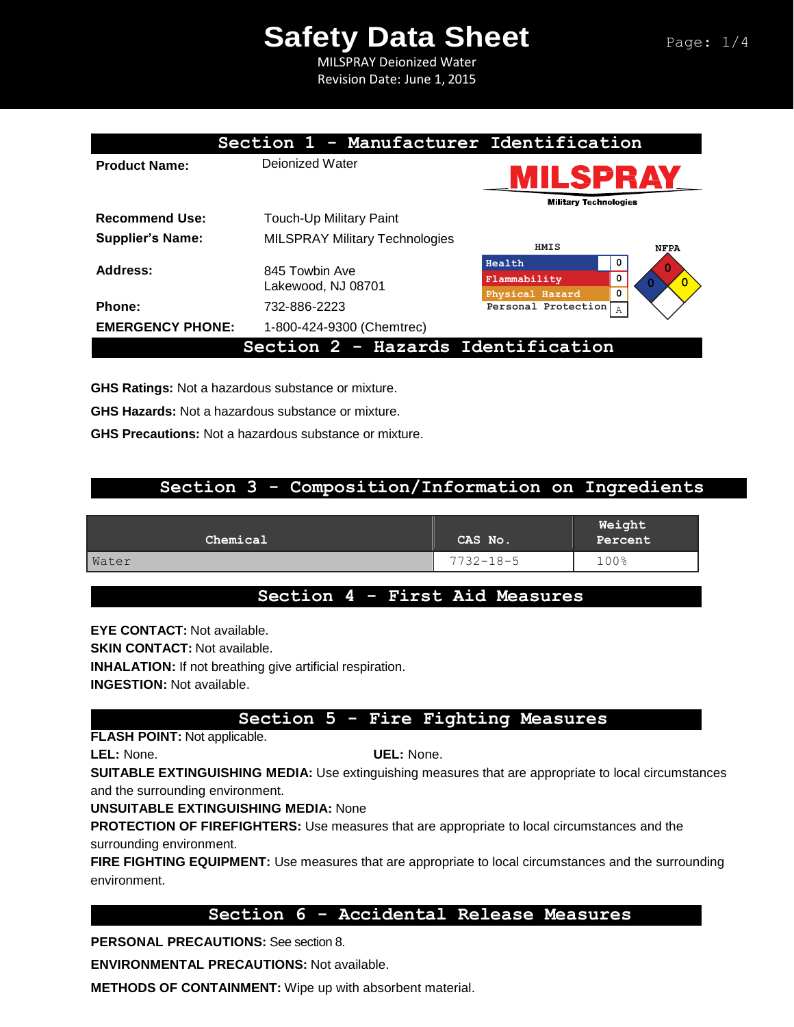MILSPRAY Deionized Water Revision Date: June 1, 2015

|                         | Section 1 - Manufacturer Identification |                                                          |  |
|-------------------------|-----------------------------------------|----------------------------------------------------------|--|
| <b>Product Name:</b>    | Dejonized Water                         | MILSPRAY                                                 |  |
|                         |                                         | <b>Military Technologies</b>                             |  |
| <b>Recommend Use:</b>   | <b>Touch-Up Military Paint</b>          |                                                          |  |
| <b>Supplier's Name:</b> | <b>MILSPRAY Military Technologies</b>   | HMIS<br><b>NFPA</b>                                      |  |
| Address:                | 845 Towbin Ave<br>Lakewood, NJ 08701    | Health<br>0<br>0<br>Flammability<br>0<br>Physical Hazard |  |
| Phone:                  | 732-886-2223                            | Personal Protection<br>Α                                 |  |
| <b>EMERGENCY PHONE:</b> | 1-800-424-9300 (Chemtrec)               |                                                          |  |
|                         | Section 2 - Hazards Identification      |                                                          |  |

**GHS Ratings:** Not a hazardous substance or mixture.

**GHS Hazards:** Not a hazardous substance or mixture.

**GHS Precautions:** Not a hazardous substance or mixture.

## **Section 3 - Composition/Information on Ingredients**

| Chemical | CAS No.         | Weight<br>Percent |
|----------|-----------------|-------------------|
| Water    | $7732 - 18 - 5$ | 100%              |
|          |                 |                   |

### **Section 4 - First Aid Measures**

**EYE CONTACT:** Not available. **SKIN CONTACT:** Not available. **INHALATION:** If not breathing give artificial respiration. **INGESTION:** Not available.

# **Section 5 - Fire Fighting Measures**

**FLASH POINT:** Not applicable.

**LEL:** None. **UEL:** None.

**SUITABLE EXTINGUISHING MEDIA:** Use extinguishing measures that are appropriate to local circumstances and the surrounding environment.

**UNSUITABLE EXTINGUISHING MEDIA:** None

**PROTECTION OF FIREFIGHTERS:** Use measures that are appropriate to local circumstances and the surrounding environment.

**FIRE FIGHTING EQUIPMENT:** Use measures that are appropriate to local circumstances and the surrounding environment.

### **Section 6 - Accidental Release Measures**

**PERSONAL PRECAUTIONS:** See section 8.

**ENVIRONMENTAL PRECAUTIONS:** Not available.

**METHODS OF CONTAINMENT:** Wipe up with absorbent material.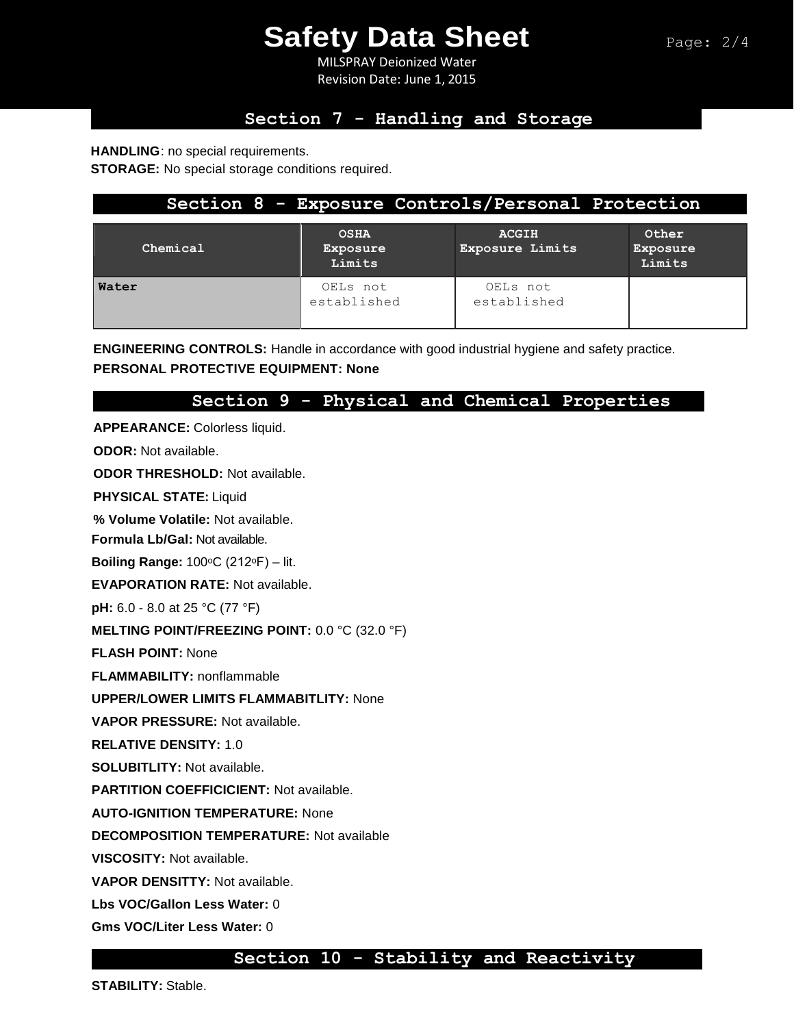MILSPRAY Deionized Water Revision Date: June 1, 2015

# **Section 7 - Handling and Storage**

**HANDLING**: no special requirements.

**STORAGE:** No special storage conditions required.

| Section 8 - Exposure Controls/Personal Protection |                                   |                                        |                             |  |  |
|---------------------------------------------------|-----------------------------------|----------------------------------------|-----------------------------|--|--|
| Chemical                                          | <b>OSHA</b><br>Exposure<br>Limits | <b>ACGIH</b><br><b>Exposure Limits</b> | Other<br>Exposure<br>Limits |  |  |
| Water                                             | OELs not<br>established           | OELs not<br>established                |                             |  |  |

**ENGINEERING CONTROLS:** Handle in accordance with good industrial hygiene and safety practice. **PERSONAL PROTECTIVE EQUIPMENT: None**

## **Section 9 - Physical and Chemical Properties**

**APPEARANCE:** Colorless liquid.

**ODOR:** Not available.

**ODOR THRESHOLD:** Not available.

**PHYSICAL STATE:** Liquid

**% Volume Volatile:** Not available.

**Formula Lb/Gal:** Not available.

**Boiling Range: 100°C (212°F) – lit.** 

**EVAPORATION RATE:** Not available.

**pH:** 6.0 - 8.0 at 25 °C (77 °F)

**MELTING POINT/FREEZING POINT:** 0.0 °C (32.0 °F)

**FLASH POINT:** None

**FLAMMABILITY:** nonflammable

**UPPER/LOWER LIMITS FLAMMABITLITY:** None

**VAPOR PRESSURE:** Not available.

**RELATIVE DENSITY:** 1.0

**SOLUBITLITY:** Not available.

**PARTITION COEFFICICIENT:** Not available.

**AUTO-IGNITION TEMPERATURE:** None

**DECOMPOSITION TEMPERATURE:** Not available

**VISCOSITY:** Not available.

**VAPOR DENSITTY:** Not available.

**Lbs VOC/Gallon Less Water:** 0

**Gms VOC/Liter Less Water:** 0

#### **Section 10 - Stability and Reactivity**

**STABILITY:** Stable.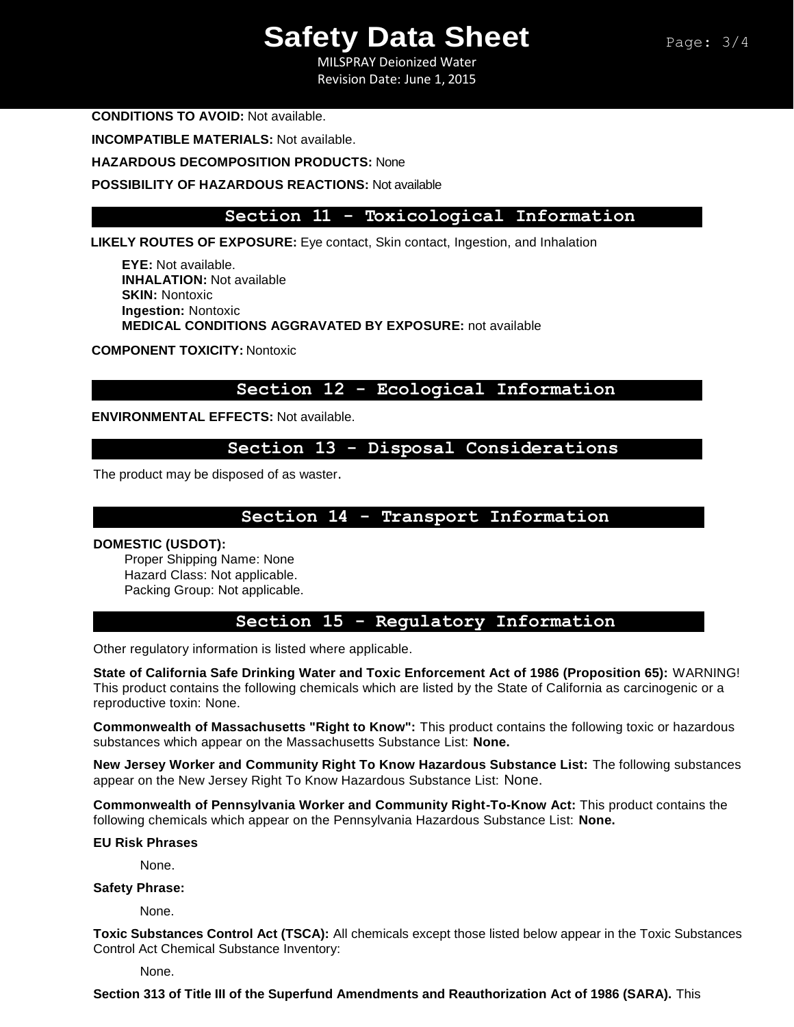MILSPRAY Deionized Water Revision Date: June 1, 2015

**CONDITIONS TO AVOID:** Not available.

**INCOMPATIBLE MATERIALS:** Not available.

**HAZARDOUS DECOMPOSITION PRODUCTS:** None

**POSSIBILITY OF HAZARDOUS REACTIONS:** Not available

### **Section 11 - Toxicological Information**

**LIKELY ROUTES OF EXPOSURE:** Eye contact, Skin contact, Ingestion, and Inhalation

**EYE:** Not available. **INHALATION:** Not available **SKIN:** Nontoxic **Ingestion:** Nontoxic **MEDICAL CONDITIONS AGGRAVATED BY EXPOSURE:** not available

**COMPONENT TOXICITY:** Nontoxic

### **Section 12 - Ecological Information**

**ENVIRONMENTAL EFFECTS:** Not available.

#### **Section 13 - Disposal Considerations**

The product may be disposed of as waster.

### **Section 14 - Transport Information**

#### **DOMESTIC (USDOT):**

Proper Shipping Name: None Hazard Class: Not applicable. Packing Group: Not applicable.

#### **Section 15 - Regulatory Information**

Other regulatory information is listed where applicable.

**State of California Safe Drinking Water and Toxic Enforcement Act of 1986 (Proposition 65):** WARNING! This product contains the following chemicals which are listed by the State of California as carcinogenic or a reproductive toxin: None.

**Commonwealth of Massachusetts "Right to Know":** This product contains the following toxic or hazardous substances which appear on the Massachusetts Substance List: **None.**

**New Jersey Worker and Community Right To Know Hazardous Substance List:** The following substances appear on the New Jersey Right To Know Hazardous Substance List: None.

**Commonwealth of Pennsylvania Worker and Community Right-To-Know Act:** This product contains the following chemicals which appear on the Pennsylvania Hazardous Substance List: **None.** 

**EU Risk Phrases** 

None.

**Safety Phrase:**

None.

**Toxic Substances Control Act (TSCA):** All chemicals except those listed below appear in the Toxic Substances Control Act Chemical Substance Inventory:

None.

**Section 313 of Title III of the Superfund Amendments and Reauthorization Act of 1986 (SARA).** This